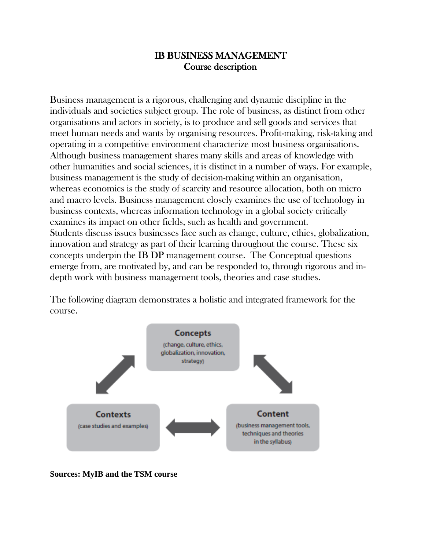#### IB BUSINESS MANAGEMENT Course description

Business management is a rigorous, challenging and dynamic discipline in the individuals and societies subject group. The role of business, as distinct from other organisations and actors in society, is to produce and sell goods and services that meet human needs and wants by organising resources. Profit-making, risk-taking and operating in a competitive environment characterize most business organisations. Although business management shares many skills and areas of knowledge with other humanities and social sciences, it is distinct in a number of ways. For example, business management is the study of decision-making within an organisation, whereas economics is the study of scarcity and resource allocation, both on micro and macro levels. Business management closely examines the use of technology in business contexts, whereas information technology in a global society critically examines its impact on other fields, such as health and government. Students discuss issues businesses face such as change, culture, ethics, globalization, innovation and strategy as part of their learning throughout the course. These six concepts underpin the IB DP management course. The Conceptual questions emerge from, are motivated by, and can be responded to, through rigorous and indepth work with business management tools, theories and case studies.

The following diagram demonstrates a holistic and integrated framework for the course.



**Sources: MyIB and the TSM course**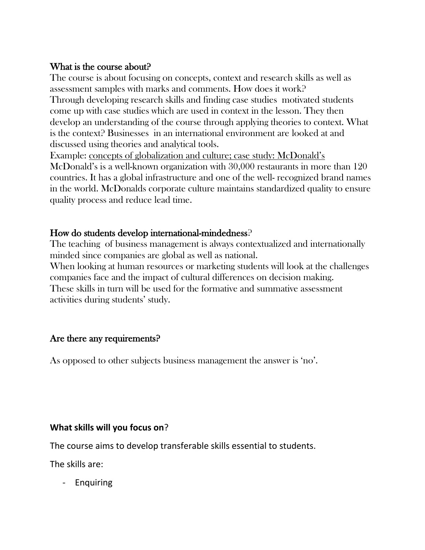#### What is the course about?

The course is about focusing on concepts, context and research skills as well as assessment samples with marks and comments. How does it work? Through developing research skills and finding case studies motivated students come up with case studies which are used in context in the lesson. They then develop an understanding of the course through applying theories to context. What is the context? Businesses in an international environment are looked at and discussed using theories and analytical tools.

Example: concepts of globalization and culture; case study: McDonald's McDonald's is a well-known organization with 30,000 restaurants in more than 120 countries. It has a global infrastructure and one of the well- recognized brand names in the world. McDonalds corporate culture maintains standardized quality to ensure quality process and reduce lead time.

## How do students develop international-mindedness?

The teaching of business management is always contextualized and internationally minded since companies are global as well as national.

When looking at human resources or marketing students will look at the challenges companies face and the impact of cultural differences on decision making. These skills in turn will be used for the formative and summative assessment activities during students' study.

# Are there any requirements?

As opposed to other subjects business management the answer is 'no'.

#### **What skills will you focus on**?

The course aims to develop transferable skills essential to students.

The skills are:

- Enquiring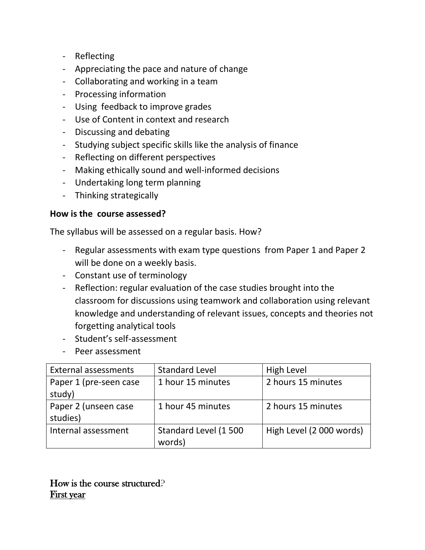- Reflecting
- Appreciating the pace and nature of change
- Collaborating and working in a team
- Processing information
- Using feedback to improve grades
- Use of Content in context and research
- Discussing and debating
- Studying subject specific skills like the analysis of finance
- Reflecting on different perspectives
- Making ethically sound and well-informed decisions
- Undertaking long term planning
- Thinking strategically

#### **How is the course assessed?**

The syllabus will be assessed on a regular basis. How?

- Regular assessments with exam type questions from Paper 1 and Paper 2 will be done on a weekly basis.
- Constant use of terminology
- Reflection: regular evaluation of the case studies brought into the classroom for discussions using teamwork and collaboration using relevant knowledge and understanding of relevant issues, concepts and theories not forgetting analytical tools
- Student's self-assessment
- Peer assessment

| <b>External assessments</b> | <b>Standard Level</b> | High Level               |
|-----------------------------|-----------------------|--------------------------|
| Paper 1 (pre-seen case      | 1 hour 15 minutes     | 2 hours 15 minutes       |
| study)                      |                       |                          |
| Paper 2 (unseen case        | 1 hour 45 minutes     | 2 hours 15 minutes       |
| studies)                    |                       |                          |
| Internal assessment         | Standard Level (1500  | High Level (2 000 words) |
|                             | words)                |                          |

How is the course structured? First year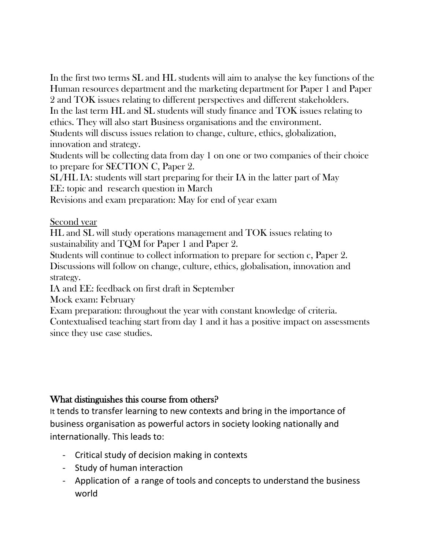In the first two terms SL and HL students will aim to analyse the key functions of the Human resources department and the marketing department for Paper 1 and Paper

2 and TOK issues relating to different perspectives and different stakeholders. In the last term HL and SL students will study finance and TOK issues relating to ethics. They will also start Business organisations and the environment.

Students will discuss issues relation to change, culture, ethics, globalization, innovation and strategy.

Students will be collecting data from day 1 on one or two companies of their choice to prepare for SECTION C, Paper 2.

SL/HL IA: students will start preparing for their IA in the latter part of May EE: topic and research question in March

Revisions and exam preparation: May for end of year exam

#### Second year

HL and SL will study operations management and TOK issues relating to sustainability and TQM for Paper 1 and Paper 2.

Students will continue to collect information to prepare for section c, Paper 2. Discussions will follow on change, culture, ethics, globalisation, innovation and strategy.

IA and EE: feedback on first draft in September

Mock exam: February

Exam preparation: throughout the year with constant knowledge of criteria.

Contextualised teaching start from day 1 and it has a positive impact on assessments since they use case studies.

# What distinguishes this course from others?

It tends to transfer learning to new contexts and bring in the importance of business organisation as powerful actors in society looking nationally and internationally. This leads to:

- Critical study of decision making in contexts
- Study of human interaction
- Application of a range of tools and concepts to understand the business world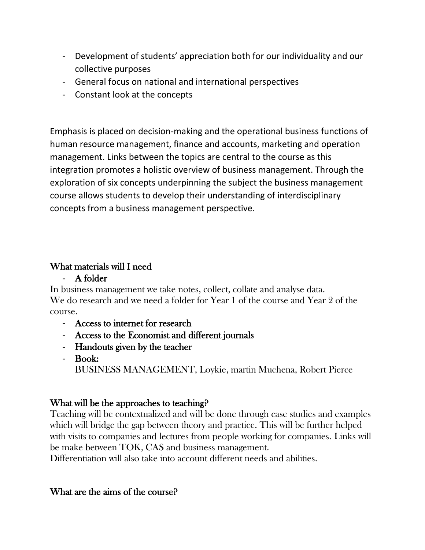- Development of students' appreciation both for our individuality and our collective purposes
- General focus on national and international perspectives
- Constant look at the concepts

Emphasis is placed on decision-making and the operational business functions of human resource management, finance and accounts, marketing and operation management. Links between the topics are central to the course as this integration promotes a holistic overview of business management. Through the exploration of six concepts underpinning the subject the business management course allows students to develop their understanding of interdisciplinary concepts from a business management perspective.

## What materials will I need

- A folder

In business management we take notes, collect, collate and analyse data. We do research and we need a folder for Year 1 of the course and Year 2 of the course.

- Access to internet for research
- Access to the Economist and different journals
- Handouts given by the teacher
- Book: BUSINESS MANAGEMENT, Loykie, martin Muchena, Robert Pierce

# What will be the approaches to teaching?

Teaching will be contextualized and will be done through case studies and examples which will bridge the gap between theory and practice. This will be further helped with visits to companies and lectures from people working for companies. Links will be make between TOK, CAS and business management.

Differentiation will also take into account different needs and abilities.

# What are the aims of the course?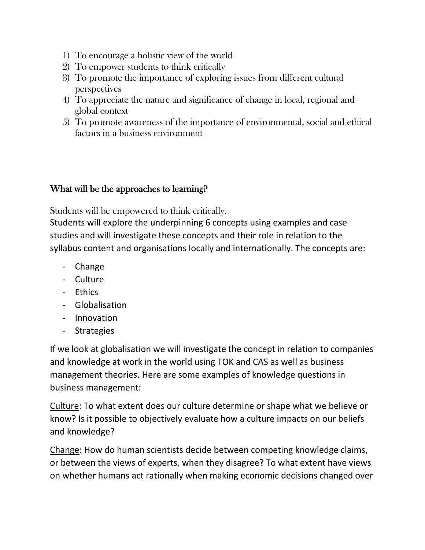- 1) To encourage a holistic view of the world
- 2) To empower students to think critically
- 3) To promote the importance of exploring issues from different cultural perspectives
- 4) To appreciate the nature and significance of change in local, regional and global context
- 5) To promote awareness of the importance of environmental, social and ethical factors in a business environment

#### What will be the approaches to learning?

Students will be empowered to think critically.

Students will explore the underpinning 6 concepts using examples and case studies and will investigate these concepts and their role in relation to the syllabus content and organisations locally and internationally. The concepts are:

- Change
- Culture
- Ethics
- Globalisation
- Innovation
- Strategies

If we look at globalisation we will investigate the concept in relation to companies and knowledge at work in the world using TOK and CAS as well as business management theories. Here are some examples of knowledge questions in business management:

Culture: To what extent does our culture determine or shape what we believe or know? Is it possible to objectively evaluate how a culture impacts on our beliefs and knowledge?

Change: How do human scientists decide between competing knowledge claims, or between the views of experts, when they disagree? To what extent have views on whether humans act rationally when making economic decisions changed over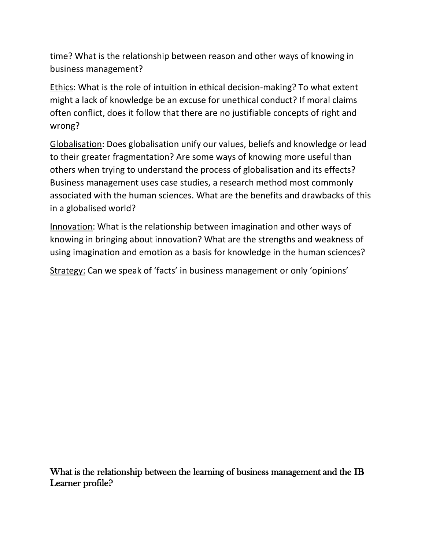time? What is the relationship between reason and other ways of knowing in business management?

Ethics: What is the role of intuition in ethical decision-making? To what extent might a lack of knowledge be an excuse for unethical conduct? If moral claims often conflict, does it follow that there are no justifiable concepts of right and wrong?

Globalisation: Does globalisation unify our values, beliefs and knowledge or lead to their greater fragmentation? Are some ways of knowing more useful than others when trying to understand the process of globalisation and its effects? Business management uses case studies, a research method most commonly associated with the human sciences. What are the benefits and drawbacks of this in a globalised world?

Innovation: What is the relationship between imagination and other ways of knowing in bringing about innovation? What are the strengths and weakness of using imagination and emotion as a basis for knowledge in the human sciences?

Strategy: Can we speak of 'facts' in business management or only 'opinions'

What is the relationship between the learning of business management and the IB Learner profile?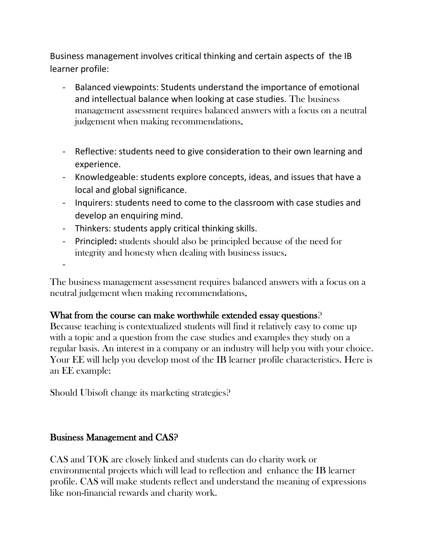Business management involves critical thinking and certain aspects of the IB learner profile:

- Balanced viewpoints: Students understand the importance of emotional and intellectual balance when looking at case studies. The business management assessment requires balanced answers with a focus on a neutral judgement when making recommendations.
- Reflective: students need to give consideration to their own learning and experience.
- Knowledgeable: students explore concepts, ideas, and issues that have a local and global significance.
- Inquirers: students need to come to the classroom with case studies and develop an enquiring mind.
- Thinkers: students apply critical thinking skills.
- Principled**:** students should also be principled because of the need for integrity and honesty when dealing with business issues.

-

The business management assessment requires balanced answers with a focus on a neutral judgement when making recommendations.

# What from the course can make worthwhile extended essay questions?

Because teaching is contextualized students will find it relatively easy to come up with a topic and a question from the case studies and examples they study on a regular basis. An interest in a company or an industry will help you with your choice. Your EE will help you develop most of the IB learner profile characteristics. Here is an EE example:

Should Ubisoft change its marketing strategies?

# Business Management and CAS?

CAS and TOK are closely linked and students can do charity work or environmental projects which will lead to reflection and enhance the IB learner profile. CAS will make students reflect and understand the meaning of expressions like non-financial rewards and charity work.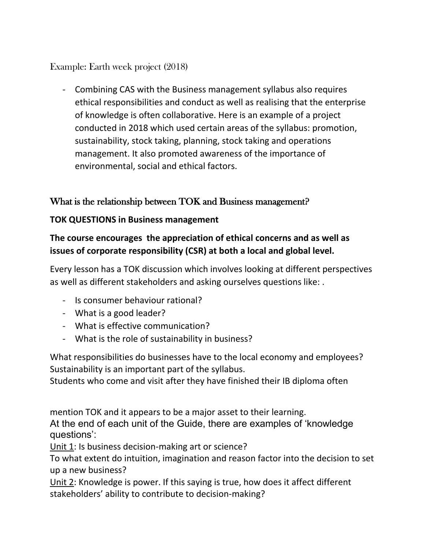## Example: Earth week project (2018)

- Combining CAS with the Business management syllabus also requires ethical responsibilities and conduct as well as realising that the enterprise of knowledge is often collaborative. Here is an example of a project conducted in 2018 which used certain areas of the syllabus: promotion, sustainability, stock taking, planning, stock taking and operations management. It also promoted awareness of the importance of environmental, social and ethical factors.

## What is the relationship between TOK and Business management?

#### **TOK QUESTIONS in Business management**

# **The course encourages the appreciation of ethical concerns and as well as issues of corporate responsibility (CSR) at both a local and global level.**

Every lesson has a TOK discussion which involves looking at different perspectives as well as different stakeholders and asking ourselves questions like: .

- Is consumer behaviour rational?
- What is a good leader?
- What is effective communication?
- What is the role of sustainability in business?

What responsibilities do businesses have to the local economy and employees? Sustainability is an important part of the syllabus.

Students who come and visit after they have finished their IB diploma often

mention TOK and it appears to be a major asset to their learning.

At the end of each unit of the Guide, there are examples of 'knowledge questions':

Unit 1: Is business decision-making art or science?

To what extent do intuition, imagination and reason factor into the decision to set up a new business?

Unit 2: Knowledge is power. If this saying is true, how does it affect different stakeholders' ability to contribute to decision-making?